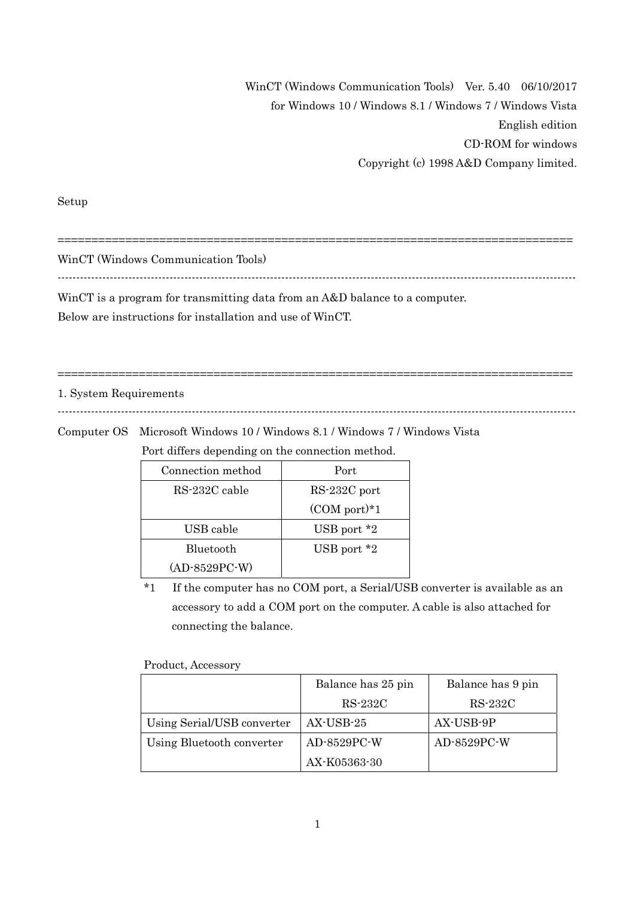WinCT (Windows Communication Tools) Ver. 5.40 06/10/2017 for Windows 10 / Windows 8.1 / Windows 7 / Windows Vista English edition CD-ROM for windows Copyright (c) 1998 A&D Company limited.

Setup

WinCT (Windows Communication Tools)

-------------------------------------------------------------------------------------------------------------------------------------------

============================================================================

-------------------------------------------------------------------------------------------------------------------------------------------

============================================================================

WinCT is a program for transmitting data from an A&D balance to a computer.

Below are instructions for installation and use of WinCT.

#### 1. System Requirements

Computer OS Microsoft Windows 10 / Windows 8.1 / Windows 7 / Windows Vista

Port differs depending on the connection method.

| Connection method | Port              |
|-------------------|-------------------|
| RS-232C cable     | RS-232C port      |
|                   | $(COM$ port $)*1$ |
| USB cable         | USB port $*2$     |
| Bluetooth         | USB port $*2$     |
| $(AD-8529PC-W)$   |                   |

\*1 If the computer has no COM port, a Serial/USB converter is available as an accessory to add a COM port on the computer. A cable is also attached for connecting the balance.

Product, Accessory

|                            | Balance has 25 pin | Balance has 9 pin |
|----------------------------|--------------------|-------------------|
|                            | RS-232C            | RS-232C           |
| Using Serial/USB converter | AX-USB-25          | AX-USB-9P         |
| Using Bluetooth converter  | $AD-8529PC-W$      | AD-8529PC-W       |
|                            | AX-K05363-30       |                   |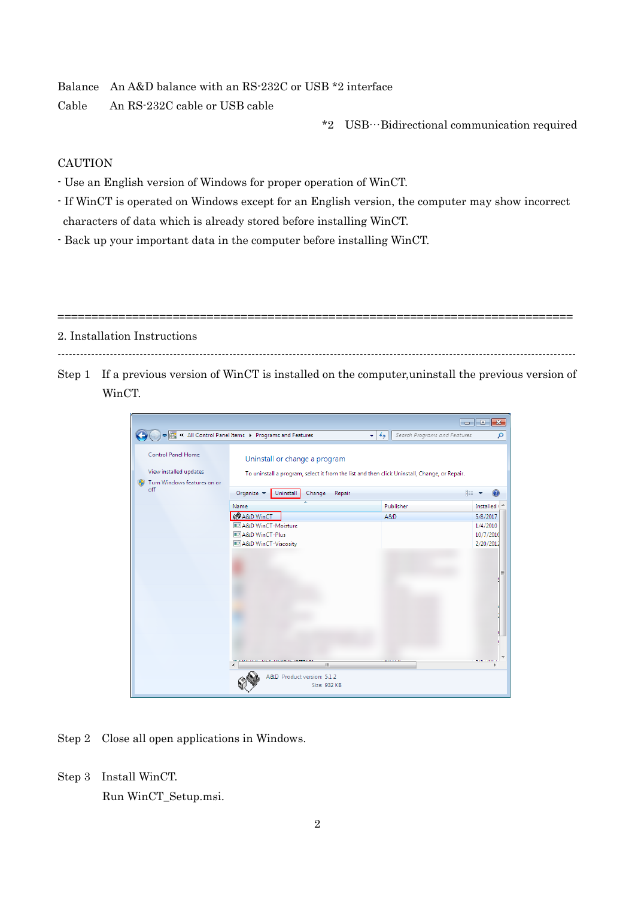Balance An A&D balance with an RS-232C or USB \*2 interface

Cable An RS-232C cable or USB cable

\*2 USB…Bidirectional communication required

# CAUTION

- Use an English version of Windows for proper operation of WinCT.
- If WinCT is operated on Windows except for an English version, the computer may show incorrect characters of data which is already stored before installing WinCT.
- Back up your important data in the computer before installing WinCT.

============================================================================ 2. Installation Instructions

Step 1 If a previous version of WinCT is installed on the computer,uninstall the previous version of WinCT.

-------------------------------------------------------------------------------------------------------------------------------------------

|                                                     |                                                              |                                                                                              | $-x$<br>l-o<br>$\overline{\phantom{a}}$ |
|-----------------------------------------------------|--------------------------------------------------------------|----------------------------------------------------------------------------------------------|-----------------------------------------|
|                                                     | ● <b>B</b> « All Control Panel Items > Programs and Features | Search Programs and Features<br>$\mathbf{v}$ $\mathbf{t}$                                    | م                                       |
| <b>Control Panel Home</b><br>View installed updates | Uninstall or change a program                                | To uninstall a program, select it from the list and then click Uninstall, Change, or Repair. |                                         |
| Turn Windows features on or<br>off                  | Organize v<br>Change<br>Uninstall                            | Repair                                                                                       | BEE                                     |
|                                                     | Name                                                         | Publisher                                                                                    | Installed ( 4                           |
|                                                     | <b>QO</b> A&D WinCT                                          | A&D                                                                                          | 5/8/2017                                |
|                                                     | A&D WinCT-Moisture<br>A&D WinCT-Plus                         |                                                                                              | 1/4/2010<br>10/7/2010                   |
|                                                     | A&D WinCT-Viscosity                                          |                                                                                              | 2/20/2012                               |
|                                                     | m.                                                           |                                                                                              | Ξ                                       |
|                                                     | A&D Product version: 5.1.2<br>Size: 932 KB                   |                                                                                              |                                         |

- Step 2 Close all open applications in Windows.
- Step 3 Install WinCT.

Run WinCT\_Setup.msi.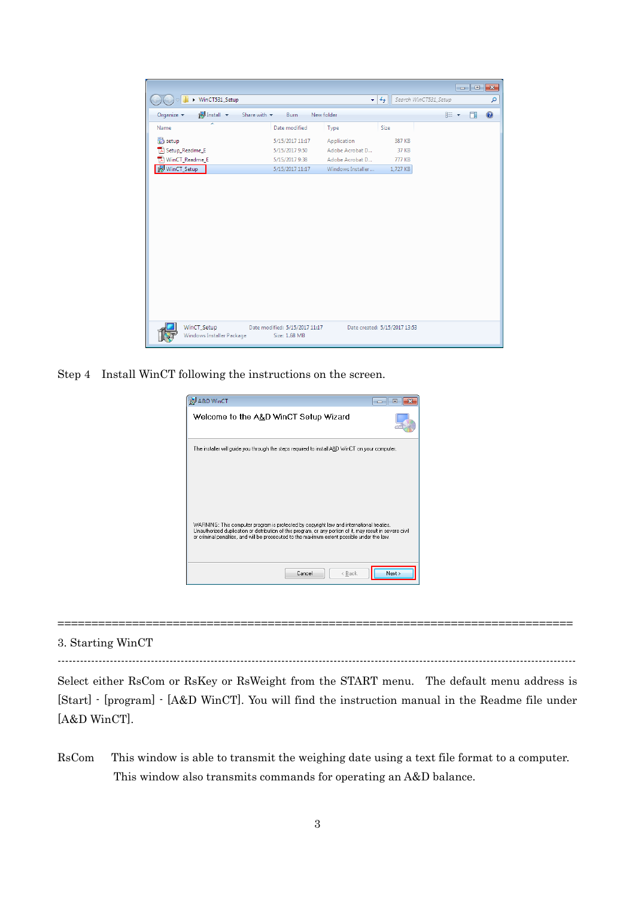|                                                                     |                                |                   |                               |                       |   | $\mathbf{x}$ |
|---------------------------------------------------------------------|--------------------------------|-------------------|-------------------------------|-----------------------|---|--------------|
| ▶ WinCT531_Setup                                                    |                                |                   | $+$                           | Search WinCT531_Setup |   | م            |
| <b>i</b> Install –<br>Share with $\blacktriangledown$<br>Organize v | New folder<br>Burn             |                   |                               | 888 ▼                 | m | 2            |
| ×<br>Name                                                           | Date modified                  | Type              | Size                          |                       |   |              |
| setup <sup>3</sup>                                                  | 5/15/2017 11:17                | Application       | 387 KB                        |                       |   |              |
| Setup_Readme_E                                                      | 5/15/2017 9:50                 | Adobe Acrobat D   | 37 KB                         |                       |   |              |
| ₱<br>WinCT_Readme_E                                                 | 5/15/2017 9:38                 | Adobe Acrobat D   | <b>777 KB</b>                 |                       |   |              |
| WinCT_Setup                                                         | 5/15/2017 11:17                | Windows Installer | 1,727 KB                      |                       |   |              |
|                                                                     |                                |                   |                               |                       |   |              |
|                                                                     |                                |                   |                               |                       |   |              |
|                                                                     |                                |                   |                               |                       |   |              |
|                                                                     |                                |                   |                               |                       |   |              |
|                                                                     |                                |                   |                               |                       |   |              |
|                                                                     |                                |                   |                               |                       |   |              |
|                                                                     |                                |                   |                               |                       |   |              |
|                                                                     |                                |                   |                               |                       |   |              |
|                                                                     |                                |                   |                               |                       |   |              |
|                                                                     |                                |                   |                               |                       |   |              |
|                                                                     |                                |                   |                               |                       |   |              |
|                                                                     |                                |                   |                               |                       |   |              |
|                                                                     |                                |                   |                               |                       |   |              |
|                                                                     |                                |                   |                               |                       |   |              |
| WinCT_Setup                                                         | Date modified: 5/15/2017 11:17 |                   | Date created: 5/15/2017 13:53 |                       |   |              |
| Windows Installer Package                                           | Size: 1.68 MB                  |                   |                               |                       |   |              |

Step 4 Install WinCT following the instructions on the screen.

| A&D WinCT<br>$\overline{\phantom{a}}$<br>$=$                                                                                                                                                                                                                                                          |
|-------------------------------------------------------------------------------------------------------------------------------------------------------------------------------------------------------------------------------------------------------------------------------------------------------|
| Welcome to the A&D WinCT Setup Wizard                                                                                                                                                                                                                                                                 |
| The installer will guide you through the steps required to install A&D WinCT on your computer.                                                                                                                                                                                                        |
| WARNING: This computer program is protected by copyright law and international treaties.<br>Unauthorized duplication or distribution of this program, or any portion of it, may result in severe civil<br>or criminal penalties, and will be prosecuted to the maximum extent possible under the law. |
| Next ><br>Cancel<br>< Back                                                                                                                                                                                                                                                                            |

#### 3. Starting WinCT

-------------------------------------------------------------------------------------------------------------------------------------------

============================================================================

Select either RsCom or RsKey or RsWeight from the START menu. The default menu address is [Start] - [program] - [A&D WinCT]. You will find the instruction manual in the Readme file under [A&D WinCT].

RsCom This window is able to transmit the weighing date using a text file format to a computer. This window also transmits commands for operating an A&D balance.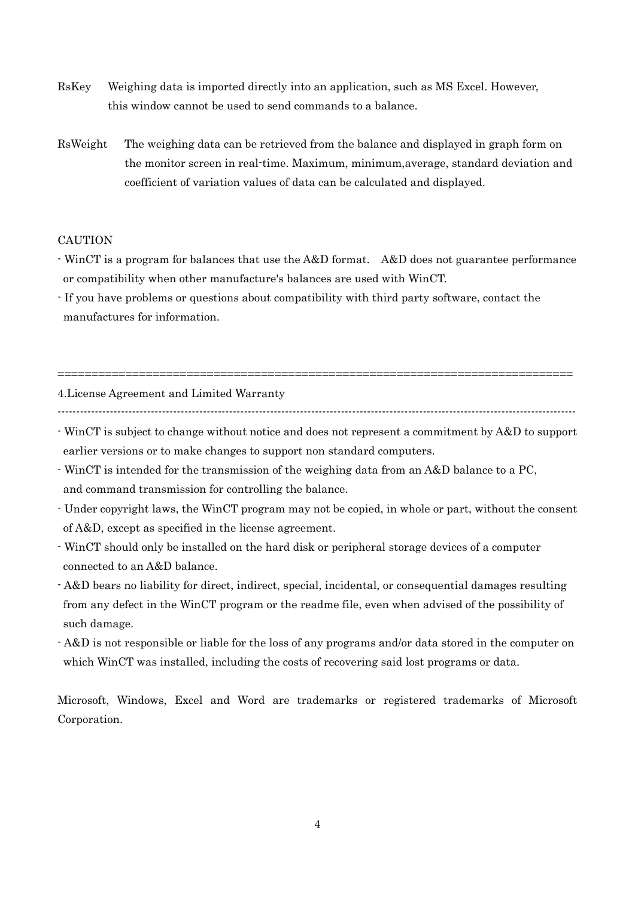- RsKey Weighing data is imported directly into an application, such as MS Excel. However, this window cannot be used to send commands to a balance.
- RsWeight The weighing data can be retrieved from the balance and displayed in graph form on the monitor screen in real-time. Maximum, minimum,average, standard deviation and coefficient of variation values of data can be calculated and displayed.

### **CAUTION**

- WinCT is a program for balances that use the A&D format. A&D does not guarantee performance or compatibility when other manufacture's balances are used with WinCT.
- If you have problems or questions about compatibility with third party software, contact the manufactures for information.

4.License Agreement and Limited Warranty

============================================================================

- WinCT is subject to change without notice and does not represent a commitment by A&D to support earlier versions or to make changes to support non standard computers.
- WinCT is intended for the transmission of the weighing data from an A&D balance to a PC, and command transmission for controlling the balance.
- Under copyright laws, the WinCT program may not be copied, in whole or part, without the consent of A&D, except as specified in the license agreement.
- WinCT should only be installed on the hard disk or peripheral storage devices of a computer connected to an A&D balance.
- A&D bears no liability for direct, indirect, special, incidental, or consequential damages resulting from any defect in the WinCT program or the readme file, even when advised of the possibility of such damage.
- A&D is not responsible or liable for the loss of any programs and/or data stored in the computer on which WinCT was installed, including the costs of recovering said lost programs or data.

Microsoft, Windows, Excel and Word are trademarks or registered trademarks of Microsoft Corporation.

<sup>-------------------------------------------------------------------------------------------------------------------------------------------</sup>